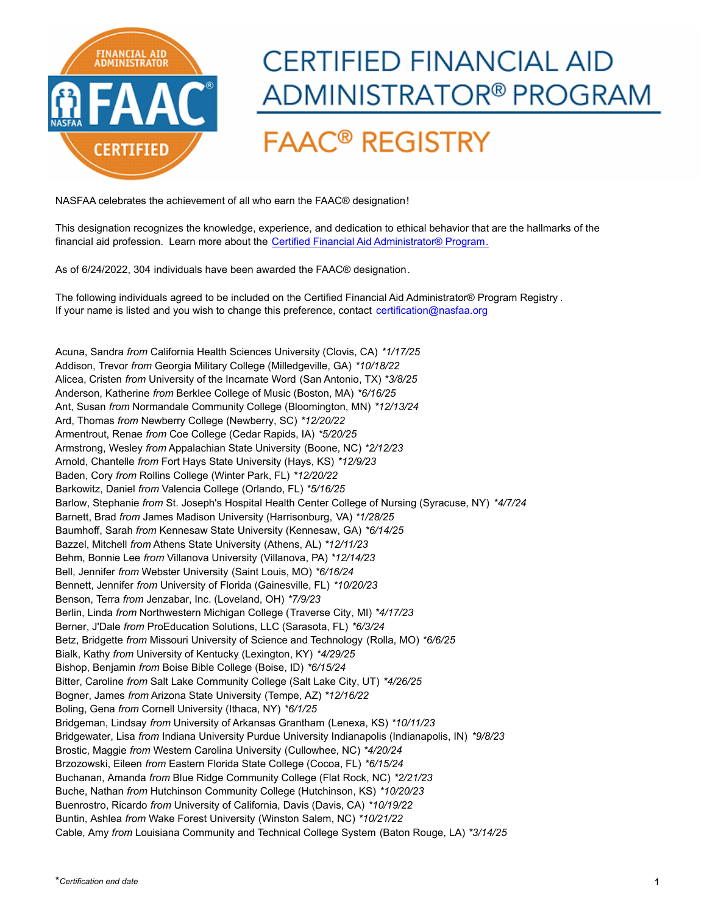

## **CERTIFIED FINANCIAL AID** ADMINISTRATOR® PROGRAM

## **FAAC<sup>®</sup> REGISTRY**

NASFAA celebrates the achievement of all who earn the FAAC® designation!

[This designation recognizes the knowledge, experience, and dedication to ethical behavior that are the hallmarks of the](https://www.nasfaa.org/CFAA)  financial aid profession. Learn more about the Certified Financial Aid Administrator® Program.

As of 6/24/2022, 304 individuals have been awarded the FAAC® designation.

[The following individuals agreed to be included on the Certified Financial Aid Administrator® Program Registry](mailto:cfaa@nasfaa.org?subject=CFAA Inquiry) . If your name is listed and you wish to change this preference, contact certification@nasfaa.org

Acuna, Sandra *from* California Health Sciences University (Clovis, CA) *\*1/17/25* Addison, Trevor *from* Georgia Military College (Milledgeville, GA) *\*10/18/22* Alicea, Cristen *from* University of the Incarnate Word (San Antonio, TX) *\*3/8/25* Anderson, Katherine *from* Berklee College of Music (Boston, MA) *\*6/16/25* Ant, Susan *from* Normandale Community College (Bloomington, MN) *\*12/13/24* Ard, Thomas *from* Newberry College (Newberry, SC) *\*12/20/22* Armentrout, Renae *from* Coe College (Cedar Rapids, IA) *\*5/20/25* Armstrong, Wesley *from* Appalachian State University (Boone, NC) *\*2/12/23* Arnold, Chantelle *from* Fort Hays State University (Hays, KS) *\*12/9/23* Baden, Cory *from* Rollins College (Winter Park, FL) *\*12/20/22* Barkowitz, Daniel *from* Valencia College (Orlando, FL) *\*5/16/25* Barlow, Stephanie *from* St. Joseph's Hospital Health Center College of Nursing (Syracuse, NY) *\*4/7/24* Barnett, Brad *from* James Madison University (Harrisonburg, VA) *\*1/28/25* Baumhoff, Sarah *from* Kennesaw State University (Kennesaw, GA) *\*6/14/25* Bazzel, Mitchell *from* Athens State University (Athens, AL) *\*12/11/23* Behm, Bonnie Lee *from* Villanova University (Villanova, PA) *\*12/14/23* Bell, Jennifer *from* Webster University (Saint Louis, MO) *\*6/16/24* Bennett, Jennifer *from* University of Florida (Gainesville, FL) *\*10/20/23* Benson, Terra *from* Jenzabar, Inc. (Loveland, OH) *\*7/9/23* Berlin, Linda *from* Northwestern Michigan College (Traverse City, MI) *\*4/17/23* Berner, J'Dale *from* ProEducation Solutions, LLC (Sarasota, FL) *\*6/3/24* Betz, Bridgette *from* Missouri University of Science and Technology (Rolla, MO) *\*6/6/25* Bialk, Kathy *from* University of Kentucky (Lexington, KY) *\*4/29/25* Bishop, Benjamin *from* Boise Bible College (Boise, ID) *\*6/15/24* Bitter, Caroline *from* Salt Lake Community College (Salt Lake City, UT) *\*4/26/25* Bogner, James *from* Arizona State University (Tempe, AZ) *\*12/16/22* Boling, Gena *from* Cornell University (Ithaca, NY) *\*6/1/25* Bridgeman, Lindsay *from* University of Arkansas Grantham (Lenexa, KS) *\*10/11/23* Bridgewater, Lisa *from* Indiana University Purdue University Indianapolis (Indianapolis, IN) *\*9/8/23* Brostic, Maggie *from* Western Carolina University (Cullowhee, NC) *\*4/20/24* Brzozowski, Eileen *from* Eastern Florida State College (Cocoa, FL) *\*6/15/24* Buchanan, Amanda *from* Blue Ridge Community College (Flat Rock, NC) *\*2/21/23* Buche, Nathan *from* Hutchinson Community College (Hutchinson, KS) *\*10/20/23* Buenrostro, Ricardo *from* University of California, Davis (Davis, CA) *\*10/19/22* Buntin, Ashlea *from* Wake Forest University (Winston Salem, NC) *\*10/21/22* Cable, Amy *from* Louisiana Community and Technical College System (Baton Rouge, LA) *\*3/14/25*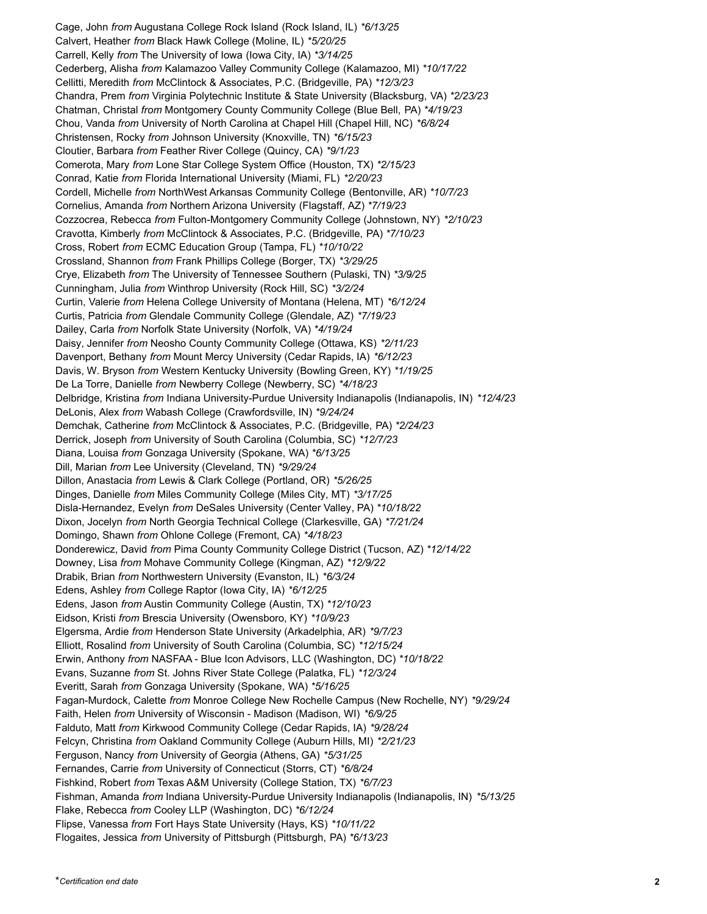Cage, John *from* Augustana College Rock Island (Rock Island, IL) *\*6/13/25* Calvert, Heather *from* Black Hawk College (Moline, IL) *\*5/20/25* Carrell, Kelly *from* The University of Iowa (Iowa City, IA) *\*3/14/25* Cederberg, Alisha *from* Kalamazoo Valley Community College (Kalamazoo, MI) *\*10/17/22* Cellitti, Meredith *from* McClintock & Associates, P.C. (Bridgeville, PA) *\*12/3/23* Chandra, Prem *from* Virginia Polytechnic Institute & State University (Blacksburg, VA) *\*2/23/23* Chatman, Christal *from* Montgomery County Community College (Blue Bell, PA) *\*4/19/23* Chou, Vanda *from* University of North Carolina at Chapel Hill (Chapel Hill, NC) *\*6/8/24* Christensen, Rocky *from* Johnson University (Knoxville, TN) *\*6/15/23* Cloutier, Barbara *from* Feather River College (Quincy, CA) *\*9/1/23* Comerota, Mary *from* Lone Star College System Office (Houston, TX) *\*2/15/23* Conrad, Katie *from* Florida International University (Miami, FL) *\*2/20/23* Cordell, Michelle *from* NorthWest Arkansas Community College (Bentonville, AR) *\*10/7/23* Cornelius, Amanda *from* Northern Arizona University (Flagstaff, AZ) *\*7/19/23* Cozzocrea, Rebecca *from* Fulton-Montgomery Community College (Johnstown, NY) *\*2/10/23* Cravotta, Kimberly *from* McClintock & Associates, P.C. (Bridgeville, PA) *\*7/10/23* Cross, Robert *from* ECMC Education Group (Tampa, FL) *\*10/10/22* Crossland, Shannon *from* Frank Phillips College (Borger, TX) *\*3/29/25* Crye, Elizabeth *from* The University of Tennessee Southern (Pulaski, TN) *\*3/9/25* Cunningham, Julia *from* Winthrop University (Rock Hill, SC) *\*3/2/24* Curtin, Valerie *from* Helena College University of Montana (Helena, MT) *\*6/12/24* Curtis, Patricia *from* Glendale Community College (Glendale, AZ) *\*7/19/23* Dailey, Carla *from* Norfolk State University (Norfolk, VA) *\*4/19/24* Daisy, Jennifer *from* Neosho County Community College (Ottawa, KS) *\*2/11/23* Davenport, Bethany *from* Mount Mercy University (Cedar Rapids, IA) *\*6/12/23* Davis, W. Bryson *from* Western Kentucky University (Bowling Green, KY) *\*1/19/25* De La Torre, Danielle *from* Newberry College (Newberry, SC) *\*4/18/23* Delbridge, Kristina *from* Indiana University-Purdue University Indianapolis (Indianapolis, IN) *\*12/4/23* DeLonis, Alex *from* Wabash College (Crawfordsville, IN) *\*9/24/24* Demchak, Catherine *from* McClintock & Associates, P.C. (Bridgeville, PA) *\*2/24/23* Derrick, Joseph *from* University of South Carolina (Columbia, SC) *\*12/7/23* Diana, Louisa *from* Gonzaga University (Spokane, WA) *\*6/13/25* Dill, Marian *from* Lee University (Cleveland, TN) *\*9/29/24* Dillon, Anastacia *from* Lewis & Clark College (Portland, OR) *\*5/26/25* Dinges, Danielle *from* Miles Community College (Miles City, MT) *\*3/17/25* Disla-Hernandez, Evelyn *from* DeSales University (Center Valley, PA) *\*10/18/22* Dixon, Jocelyn *from* North Georgia Technical College (Clarkesville, GA) *\*7/21/24* Domingo, Shawn *from* Ohlone College (Fremont, CA) *\*4/18/23* Donderewicz, David *from* Pima County Community College District (Tucson, AZ) *\*12/14/22* Downey, Lisa *from* Mohave Community College (Kingman, AZ) *\*12/9/22* Drabik, Brian *from* Northwestern University (Evanston, IL) *\*6/3/24* Edens, Ashley *from* College Raptor (Iowa City, IA) *\*6/12/25* Edens, Jason *from* Austin Community College (Austin, TX) *\*12/10/23* Eidson, Kristi *from* Brescia University (Owensboro, KY) *\*10/9/23* Elgersma, Ardie *from* Henderson State University (Arkadelphia, AR) *\*9/7/23* Elliott, Rosalind *from* University of South Carolina (Columbia, SC) *\*12/15/24* Erwin, Anthony *from* NASFAA - Blue Icon Advisors, LLC (Washington, DC) *\*10/18/22* Evans, Suzanne *from* St. Johns River State College (Palatka, FL) *\*12/3/24* Everitt, Sarah *from* Gonzaga University (Spokane, WA) *\*5/16/25* Fagan-Murdock, Calette *from* Monroe College New Rochelle Campus (New Rochelle, NY) *\*9/29/24* Faith, Helen *from* University of Wisconsin - Madison (Madison, WI) *\*6/9/25* Falduto, Matt *from* Kirkwood Community College (Cedar Rapids, IA) *\*9/28/24* Felcyn, Christina *from* Oakland Community College (Auburn Hills, MI) *\*2/21/23* Ferguson, Nancy *from* University of Georgia (Athens, GA) *\*5/31/25* Fernandes, Carrie *from* University of Connecticut (Storrs, CT) *\*6/8/24* Fishkind, Robert *from* Texas A&M University (College Station, TX) *\*6/7/23* Fishman, Amanda *from* Indiana University-Purdue University Indianapolis (Indianapolis, IN) *\*5/13/25* Flake, Rebecca *from* Cooley LLP (Washington, DC) *\*6/12/24* Flipse, Vanessa *from* Fort Hays State University (Hays, KS) *\*10/11/22* Flogaites, Jessica *from* University of Pittsburgh (Pittsburgh, PA) *\*6/13/23*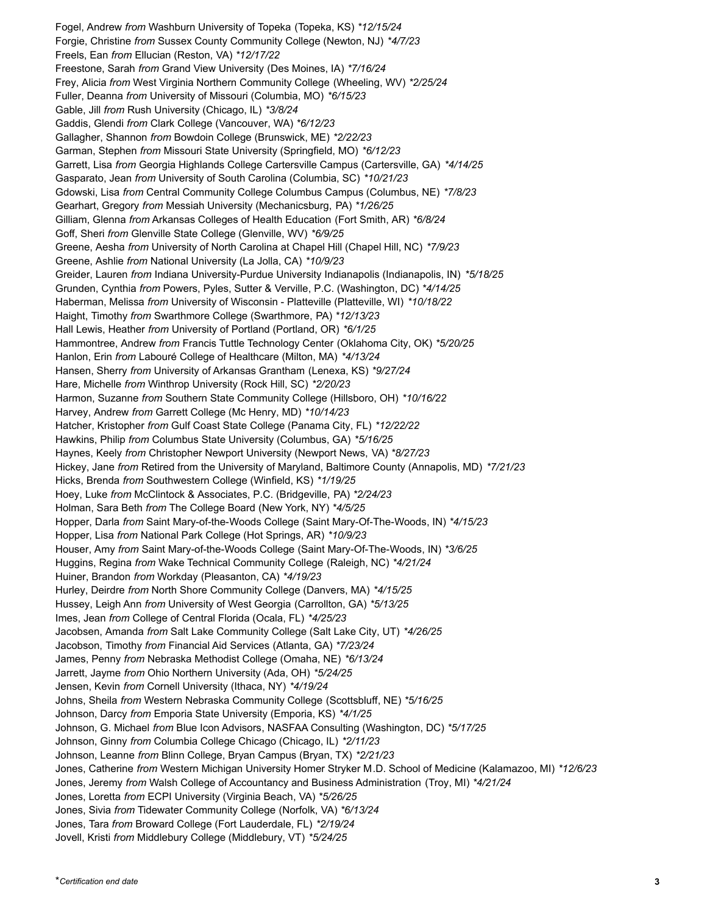Fogel, Andrew *from* Washburn University of Topeka (Topeka, KS) *\*12/15/24* Forgie, Christine *from* Sussex County Community College (Newton, NJ) *\*4/7/23* Freels, Ean *from* Ellucian (Reston, VA) *\*12/17/22* Freestone, Sarah *from* Grand View University (Des Moines, IA) *\*7/16/24* Frey, Alicia *from* West Virginia Northern Community College (Wheeling, WV) *\*2/25/24* Fuller, Deanna *from* University of Missouri (Columbia, MO) *\*6/15/23* Gable, Jill *from* Rush University (Chicago, IL) *\*3/8/24* Gaddis, Glendi *from* Clark College (Vancouver, WA) *\*6/12/23* Gallagher, Shannon *from* Bowdoin College (Brunswick, ME) *\*2/22/23* Garman, Stephen *from* Missouri State University (Springfield, MO) *\*6/12/23* Garrett, Lisa *from* Georgia Highlands College Cartersville Campus (Cartersville, GA) *\*4/14/25* Gasparato, Jean *from* University of South Carolina (Columbia, SC) *\*10/21/23* Gdowski, Lisa *from* Central Community College Columbus Campus (Columbus, NE) *\*7/8/23* Gearhart, Gregory *from* Messiah University (Mechanicsburg, PA) *\*1/26/25* Gilliam, Glenna *from* Arkansas Colleges of Health Education (Fort Smith, AR) *\*6/8/24* Goff, Sheri *from* Glenville State College (Glenville, WV) *\*6/9/25* Greene, Aesha *from* University of North Carolina at Chapel Hill (Chapel Hill, NC) *\*7/9/23* Greene, Ashlie *from* National University (La Jolla, CA) *\*10/9/23* Greider, Lauren *from* Indiana University-Purdue University Indianapolis (Indianapolis, IN) *\*5/18/25* Grunden, Cynthia *from* Powers, Pyles, Sutter & Verville, P.C. (Washington, DC) *\*4/14/25* Haberman, Melissa *from* University of Wisconsin - Platteville (Platteville, WI) *\*10/18/22* Haight, Timothy *from* Swarthmore College (Swarthmore, PA) *\*12/13/23* Hall Lewis, Heather *from* University of Portland (Portland, OR) *\*6/1/25* Hammontree, Andrew *from* Francis Tuttle Technology Center (Oklahoma City, OK) *\*5/20/25* Hanlon, Erin *from* Labouré College of Healthcare (Milton, MA) *\*4/13/24* Hansen, Sherry *from* University of Arkansas Grantham (Lenexa, KS) *\*9/27/24* Hare, Michelle *from* Winthrop University (Rock Hill, SC) *\*2/20/23* Harmon, Suzanne *from* Southern State Community College (Hillsboro, OH) *\*10/16/22* Harvey, Andrew *from* Garrett College (Mc Henry, MD) *\*10/14/23* Hatcher, Kristopher *from* Gulf Coast State College (Panama City, FL) *\*12/22/22* Hawkins, Philip *from* Columbus State University (Columbus, GA) *\*5/16/25* Haynes, Keely *from* Christopher Newport University (Newport News, VA) *\*8/27/23* Hickey, Jane *from* Retired from the University of Maryland, Baltimore County (Annapolis, MD) *\*7/21/23* Hicks, Brenda *from* Southwestern College (Winfield, KS) *\*1/19/25* Hoey, Luke *from* McClintock & Associates, P.C. (Bridgeville, PA) *\*2/24/23* Holman, Sara Beth *from* The College Board (New York, NY) *\*4/5/25* Hopper, Darla *from* Saint Mary-of-the-Woods College (Saint Mary-Of-The-Woods, IN) *\*4/15/23* Hopper, Lisa *from* National Park College (Hot Springs, AR) *\*10/9/23* Houser, Amy *from* Saint Mary-of-the-Woods College (Saint Mary-Of-The-Woods, IN) *\*3/6/25* Huggins, Regina *from* Wake Technical Community College (Raleigh, NC) *\*4/21/24* Huiner, Brandon *from* Workday (Pleasanton, CA) *\*4/19/23* Hurley, Deirdre *from* North Shore Community College (Danvers, MA) *\*4/15/25* Hussey, Leigh Ann *from* University of West Georgia (Carrollton, GA) *\*5/13/25* Imes, Jean *from* College of Central Florida (Ocala, FL) *\*4/25/23* Jacobsen, Amanda *from* Salt Lake Community College (Salt Lake City, UT) *\*4/26/25* Jacobson, Timothy *from* Financial Aid Services (Atlanta, GA) *\*7/23/24* James, Penny *from* Nebraska Methodist College (Omaha, NE) *\*6/13/24* Jarrett, Jayme *from* Ohio Northern University (Ada, OH) *\*5/24/25* Jensen, Kevin *from* Cornell University (Ithaca, NY) *\*4/19/24* Johns, Sheila *from* Western Nebraska Community College (Scottsbluff, NE) *\*5/16/25* Johnson, Darcy *from* Emporia State University (Emporia, KS) *\*4/1/25* Johnson, G. Michael *from* Blue Icon Advisors, NASFAA Consulting (Washington, DC) *\*5/17/25* Johnson, Ginny *from* Columbia College Chicago (Chicago, IL) *\*2/11/23* Johnson, Leanne *from* Blinn College, Bryan Campus (Bryan, TX) *\*2/21/23* Jones, Catherine *from* Western Michigan University Homer Stryker M.D. School of Medicine (Kalamazoo, MI) *\*12/6/23* Jones, Jeremy *from* Walsh College of Accountancy and Business Administration (Troy, MI) *\*4/21/24* Jones, Loretta *from* ECPI University (Virginia Beach, VA) *\*5/26/25* Jones, Sivia *from* Tidewater Community College (Norfolk, VA) *\*6/13/24* Jones, Tara *from* Broward College (Fort Lauderdale, FL) *\*2/19/24* Jovell, Kristi *from* Middlebury College (Middlebury, VT) *\*5/24/25*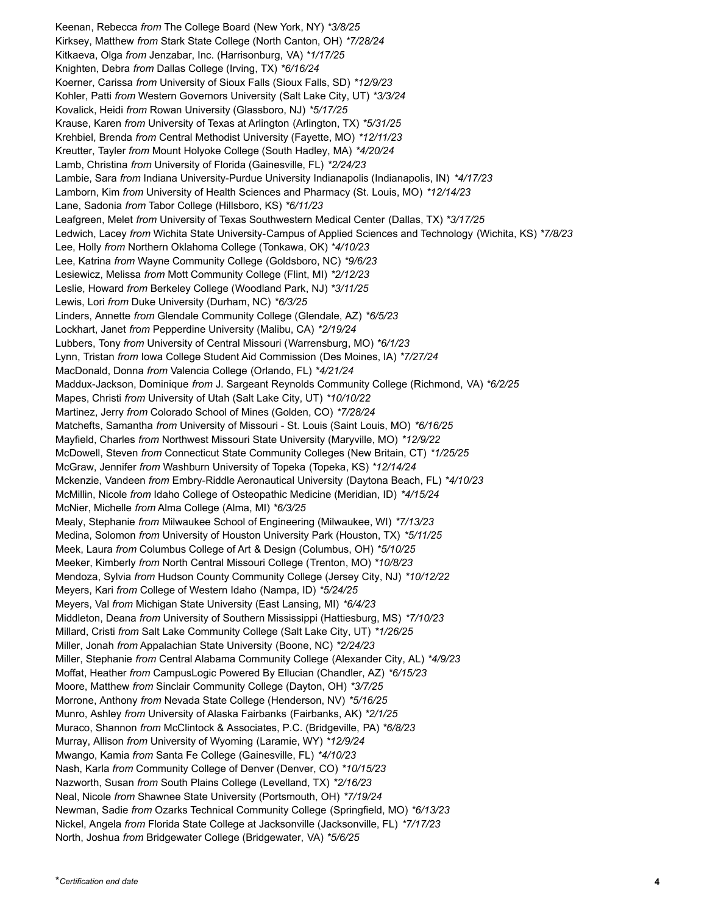Keenan, Rebecca *from* The College Board (New York, NY) *\*3/8/25* Kirksey, Matthew *from* Stark State College (North Canton, OH) *\*7/28/24* Kitkaeva, Olga *from* Jenzabar, Inc. (Harrisonburg, VA) *\*1/17/25* Knighten, Debra *from* Dallas College (Irving, TX) *\*6/16/24* Koerner, Carissa *from* University of Sioux Falls (Sioux Falls, SD) *\*12/9/23* Kohler, Patti *from* Western Governors University (Salt Lake City, UT) *\*3/3/24* Kovalick, Heidi *from* Rowan University (Glassboro, NJ) *\*5/17/25* Krause, Karen *from* University of Texas at Arlington (Arlington, TX) *\*5/31/25* Krehbiel, Brenda *from* Central Methodist University (Fayette, MO) *\*12/11/23* Kreutter, Tayler *from* Mount Holyoke College (South Hadley, MA) *\*4/20/24* Lamb, Christina *from* University of Florida (Gainesville, FL) *\*2/24/23* Lambie, Sara *from* Indiana University-Purdue University Indianapolis (Indianapolis, IN) *\*4/17/23* Lamborn, Kim *from* University of Health Sciences and Pharmacy (St. Louis, MO) *\*12/14/23* Lane, Sadonia *from* Tabor College (Hillsboro, KS) *\*6/11/23* Leafgreen, Melet *from* University of Texas Southwestern Medical Center (Dallas, TX) *\*3/17/25* Ledwich, Lacey *from* Wichita State University-Campus of Applied Sciences and Technology (Wichita, KS) *\*7/8/23* Lee, Holly *from* Northern Oklahoma College (Tonkawa, OK) *\*4/10/23* Lee, Katrina *from* Wayne Community College (Goldsboro, NC) *\*9/6/23* Lesiewicz, Melissa *from* Mott Community College (Flint, MI) *\*2/12/23* Leslie, Howard *from* Berkeley College (Woodland Park, NJ) *\*3/11/25* Lewis, Lori *from* Duke University (Durham, NC) *\*6/3/25* Linders, Annette *from* Glendale Community College (Glendale, AZ) *\*6/5/23* Lockhart, Janet *from* Pepperdine University (Malibu, CA) *\*2/19/24* Lubbers, Tony *from* University of Central Missouri (Warrensburg, MO) *\*6/1/23* Lynn, Tristan *from* Iowa College Student Aid Commission (Des Moines, IA) *\*7/27/24* MacDonald, Donna *from* Valencia College (Orlando, FL) *\*4/21/24* Maddux-Jackson, Dominique *from* J. Sargeant Reynolds Community College (Richmond, VA) *\*6/2/25* Mapes, Christi *from* University of Utah (Salt Lake City, UT) *\*10/10/22* Martinez, Jerry *from* Colorado School of Mines (Golden, CO) *\*7/28/24* Matchefts, Samantha *from* University of Missouri - St. Louis (Saint Louis, MO) *\*6/16/25* Mayfield, Charles *from* Northwest Missouri State University (Maryville, MO) *\*12/9/22* McDowell, Steven *from* Connecticut State Community Colleges (New Britain, CT) *\*1/25/25* McGraw, Jennifer *from* Washburn University of Topeka (Topeka, KS) *\*12/14/24* Mckenzie, Vandeen *from* Embry-Riddle Aeronautical University (Daytona Beach, FL) *\*4/10/23* McMillin, Nicole *from* Idaho College of Osteopathic Medicine (Meridian, ID) *\*4/15/24* McNier, Michelle *from* Alma College (Alma, MI) *\*6/3/25* Mealy, Stephanie *from* Milwaukee School of Engineering (Milwaukee, WI) *\*7/13/23* Medina, Solomon *from* University of Houston University Park (Houston, TX) *\*5/11/25* Meek, Laura *from* Columbus College of Art & Design (Columbus, OH) *\*5/10/25* Meeker, Kimberly *from* North Central Missouri College (Trenton, MO) *\*10/8/23* Mendoza, Sylvia *from* Hudson County Community College (Jersey City, NJ) *\*10/12/22* Meyers, Kari *from* College of Western Idaho (Nampa, ID) *\*5/24/25* Meyers, Val *from* Michigan State University (East Lansing, MI) *\*6/4/23* Middleton, Deana *from* University of Southern Mississippi (Hattiesburg, MS) *\*7/10/23* Millard, Cristi *from* Salt Lake Community College (Salt Lake City, UT) *\*1/26/25* Miller, Jonah *from* Appalachian State University (Boone, NC) *\*2/24/23* Miller, Stephanie *from* Central Alabama Community College (Alexander City, AL) *\*4/9/23* Moffat, Heather *from* CampusLogic Powered By Ellucian (Chandler, AZ) *\*6/15/23* Moore, Matthew *from* Sinclair Community College (Dayton, OH) *\*3/7/25* Morrone, Anthony *from* Nevada State College (Henderson, NV) *\*5/16/25* Munro, Ashley *from* University of Alaska Fairbanks (Fairbanks, AK) *\*2/1/25* Muraco, Shannon *from* McClintock & Associates, P.C. (Bridgeville, PA) *\*6/8/23* Murray, Allison *from* University of Wyoming (Laramie, WY) *\*12/9/24* Mwango, Kamia *from* Santa Fe College (Gainesville, FL) *\*4/10/23* Nash, Karla *from* Community College of Denver (Denver, CO) *\*10/15/23* Nazworth, Susan *from* South Plains College (Levelland, TX) *\*2/16/23* Neal, Nicole *from* Shawnee State University (Portsmouth, OH) *\*7/19/24* Newman, Sadie *from* Ozarks Technical Community College (Springfield, MO) *\*6/13/23* Nickel, Angela *from* Florida State College at Jacksonville (Jacksonville, FL) *\*7/17/23* North, Joshua *from* Bridgewater College (Bridgewater, VA) *\*5/6/25*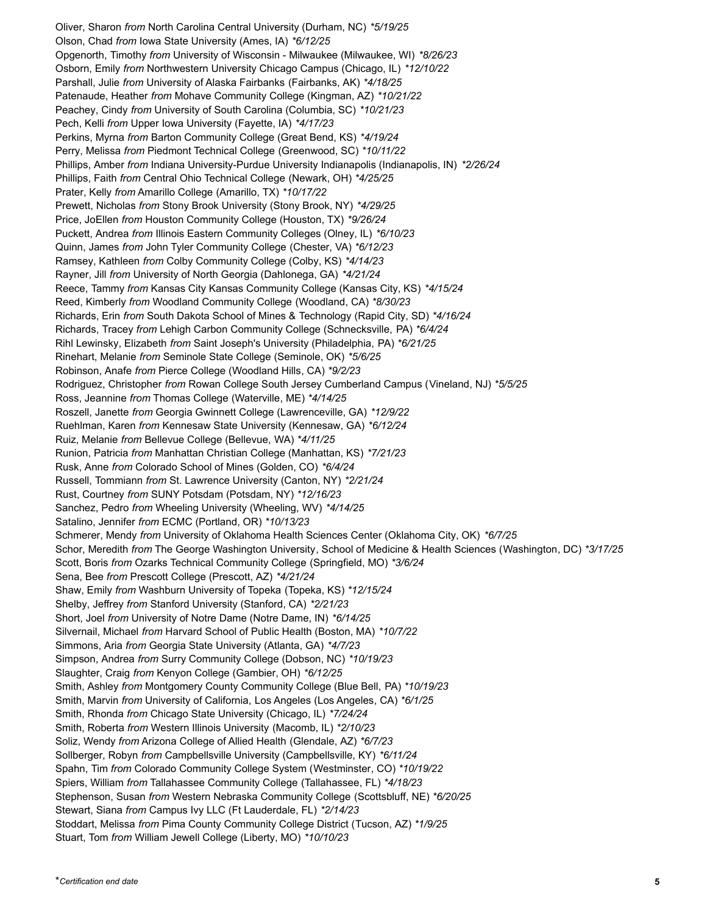Oliver, Sharon *from* North Carolina Central University (Durham, NC) *\*5/19/25* Olson, Chad *from* Iowa State University (Ames, IA) *\*6/12/25* Opgenorth, Timothy *from* University of Wisconsin - Milwaukee (Milwaukee, WI) *\*8/26/23* Osborn, Emily *from* Northwestern University Chicago Campus (Chicago, IL) *\*12/10/22* Parshall, Julie *from* University of Alaska Fairbanks (Fairbanks, AK) *\*4/18/25* Patenaude, Heather *from* Mohave Community College (Kingman, AZ) *\*10/21/22* Peachey, Cindy *from* University of South Carolina (Columbia, SC) *\*10/21/23* Pech, Kelli *from* Upper Iowa University (Fayette, IA) *\*4/17/23* Perkins, Myrna *from* Barton Community College (Great Bend, KS) *\*4/19/24* Perry, Melissa *from* Piedmont Technical College (Greenwood, SC) *\*10/11/22* Phillips, Amber *from* Indiana University-Purdue University Indianapolis (Indianapolis, IN) *\*2/26/24* Phillips, Faith *from* Central Ohio Technical College (Newark, OH) *\*4/25/25* Prater, Kelly *from* Amarillo College (Amarillo, TX) *\*10/17/22* Prewett, Nicholas *from* Stony Brook University (Stony Brook, NY) *\*4/29/25* Price, JoEllen *from* Houston Community College (Houston, TX) *\*9/26/24* Puckett, Andrea *from* Illinois Eastern Community Colleges (Olney, IL) *\*6/10/23* Quinn, James *from* John Tyler Community College (Chester, VA) *\*6/12/23* Ramsey, Kathleen *from* Colby Community College (Colby, KS) *\*4/14/23* Rayner, Jill *from* University of North Georgia (Dahlonega, GA) *\*4/21/24* Reece, Tammy *from* Kansas City Kansas Community College (Kansas City, KS) *\*4/15/24* Reed, Kimberly *from* Woodland Community College (Woodland, CA) *\*8/30/23* Richards, Erin *from* South Dakota School of Mines & Technology (Rapid City, SD) *\*4/16/24* Richards, Tracey *from* Lehigh Carbon Community College (Schnecksville, PA) *\*6/4/24* Rihl Lewinsky, Elizabeth *from* Saint Joseph's University (Philadelphia, PA) *\*6/21/25* Rinehart, Melanie *from* Seminole State College (Seminole, OK) *\*5/6/25* Robinson, Anafe *from* Pierce College (Woodland Hills, CA) *\*9/2/23* Rodriguez, Christopher *from* Rowan College South Jersey Cumberland Campus (Vineland, NJ) *\*5/5/25* Ross, Jeannine *from* Thomas College (Waterville, ME) *\*4/14/25* Roszell, Janette *from* Georgia Gwinnett College (Lawrenceville, GA) *\*12/9/22* Ruehlman, Karen *from* Kennesaw State University (Kennesaw, GA) *\*6/12/24* Ruiz, Melanie *from* Bellevue College (Bellevue, WA) *\*4/11/25* Runion, Patricia *from* Manhattan Christian College (Manhattan, KS) *\*7/21/23* Rusk, Anne *from* Colorado School of Mines (Golden, CO) *\*6/4/24* Russell, Tommiann *from* St. Lawrence University (Canton, NY) *\*2/21/24* Rust, Courtney *from* SUNY Potsdam (Potsdam, NY) *\*12/16/23* Sanchez, Pedro *from* Wheeling University (Wheeling, WV) *\*4/14/25* Satalino, Jennifer *from* ECMC (Portland, OR) *\*10/13/23* Schmerer, Mendy *from* University of Oklahoma Health Sciences Center (Oklahoma City, OK) *\*6/7/25* Schor, Meredith *from* The George Washington University, School of Medicine & Health Sciences (Washington, DC) *\*3/17/25* Scott, Boris *from* Ozarks Technical Community College (Springfield, MO) *\*3/6/24* Sena, Bee *from* Prescott College (Prescott, AZ) *\*4/21/24* Shaw, Emily *from* Washburn University of Topeka (Topeka, KS) *\*12/15/24* Shelby, Jeffrey *from* Stanford University (Stanford, CA) *\*2/21/23* Short, Joel *from* University of Notre Dame (Notre Dame, IN) *\*6/14/25* Silvernail, Michael *from* Harvard School of Public Health (Boston, MA) *\*10/7/22* Simmons, Aria *from* Georgia State University (Atlanta, GA) *\*4/7/23* Simpson, Andrea *from* Surry Community College (Dobson, NC) *\*10/19/23* Slaughter, Craig *from* Kenyon College (Gambier, OH) *\*6/12/25* Smith, Ashley *from* Montgomery County Community College (Blue Bell, PA) *\*10/19/23* Smith, Marvin *from* University of California, Los Angeles (Los Angeles, CA) *\*6/1/25* Smith, Rhonda *from* Chicago State University (Chicago, IL) *\*7/24/24* Smith, Roberta *from* Western Illinois University (Macomb, IL) *\*2/10/23* Soliz, Wendy *from* Arizona College of Allied Health (Glendale, AZ) *\*6/7/23* Sollberger, Robyn *from* Campbellsville University (Campbellsville, KY) *\*6/11/24* Spahn, Tim *from* Colorado Community College System (Westminster, CO) *\*10/19/22* Spiers, William *from* Tallahassee Community College (Tallahassee, FL) *\*4/18/23* Stephenson, Susan *from* Western Nebraska Community College (Scottsbluff, NE) *\*6/20/25* Stewart, Siana *from* Campus Ivy LLC (Ft Lauderdale, FL) *\*2/14/23* Stoddart, Melissa *from* Pima County Community College District (Tucson, AZ) *\*1/9/25* Stuart, Tom *from* William Jewell College (Liberty, MO) *\*10/10/23*